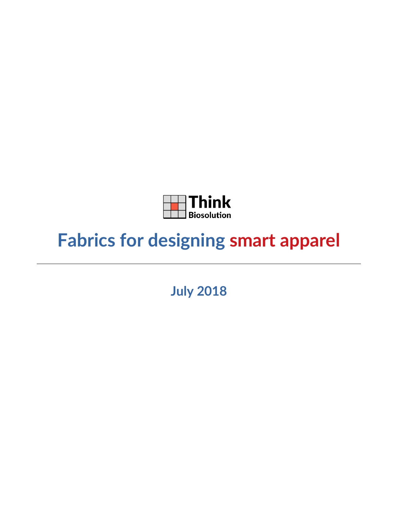

# **Fabrics for designing smart apparel**

**July 2018**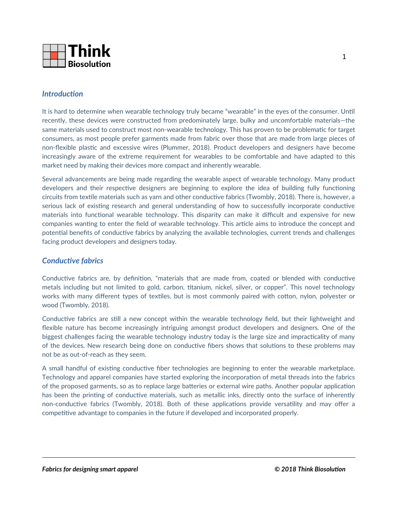

## *Introduction*

It is hard to determine when wearable technology truly became "wearable" in the eyes of the consumer. Until recently, these devices were constructed from predominately large, bulky and uncomfortable materials—the same materials used to construct most non-wearable technology. This has proven to be problematic for target consumers, as most people prefer garments made from fabric over those that are made from large pieces of non-flexible plastic and excessive wires (Plummer, 2018). Product developers and designers have become increasingly aware of the extreme requirement for wearables to be comfortable and have adapted to this market need by making their devices more compact and inherently wearable.

Several advancements are being made regarding the wearable aspect of wearable technology. Many product developers and their respective designers are beginning to explore the idea of building fully functioning circuits from textile materials such as yarn and other conductive fabrics (Twombly, 2018). There is, however, a serious lack of existing research and general understanding of how to successfully incorporate conductive materials into functional wearable technology. This disparity can make it difficult and expensive for new companies wanting to enter the field of wearable technology. This article aims to introduce the concept and potential benefits of conductive fabrics by analyzing the available technologies, current trends and challenges facing product developers and designers today.

#### *Conductive fabrics*

Conductive fabrics are, by definition, "materials that are made from, coated or blended with conductive metals including but not limited to gold, carbon, titanium, nickel, silver, or copper". This novel technology works with many different types of textiles, but is most commonly paired with cotton, nylon, polyester or wood (Twombly, 2018).

Conductive fabrics are still a new concept within the wearable technology field, but their lightweight and flexible nature has become increasingly intriguing amongst product developers and designers. One of the biggest challenges facing the wearable technology industry today is the large size and impracticality of many of the devices. New research being done on conductive fibers shows that solutions to these problems may not be as out-of-reach as they seem.

A small handful of existing conductive fiber technologies are beginning to enter the wearable marketplace. Technology and apparel companies have started exploring the incorporation of metal threads into the fabrics of the proposed garments, so as to replace large batteries or external wire paths. Another popular application has been the printing of conductive materials, such as metallic inks, directly onto the surface of inherently non-conductive fabrics (Twombly, 2018). Both of these applications provide versatility and may offer a competitive advantage to companies in the future if developed and incorporated properly.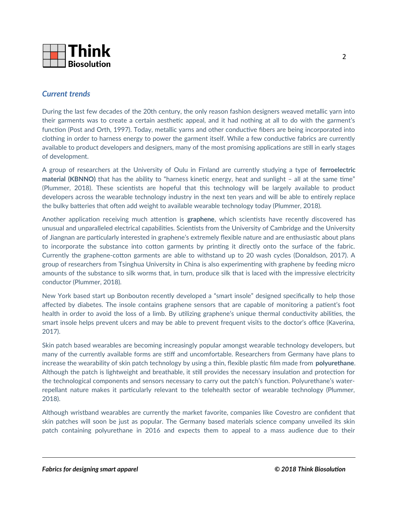

## *Current trends*

During the last few decades of the 20th century, the only reason fashion designers weaved metallic yarn into their garments was to create a certain aesthetic appeal, and it had nothing at all to do with the garment's function (Post and Orth, 1997). Today, metallic yarns and other conductive fibers are being incorporated into clothing in order to harness energy to power the garment itself. While a few conductive fabrics are currently available to product developers and designers, many of the most promising applications are still in early stages of development.

A group of researchers at the University of Oulu in Finland are currently studying a type of **ferroelectric material (KBNNO)** that has the ability to "harness kinetic energy, heat and sunlight – all at the same time" (Plummer, 2018). These scientists are hopeful that this technology will be largely available to product developers across the wearable technology industry in the next ten years and will be able to entirely replace the bulky batteries that often add weight to available wearable technology today (Plummer, 2018).

Another application receiving much attention is **graphene**, which scientists have recently discovered has unusual and unparalleled electrical capabilities. Scientists from the University of Cambridge and the University of Jiangnan are particularly interested in graphene's extremely flexible nature and are enthusiastic about plans to incorporate the substance into cotton garments by printing it directly onto the surface of the fabric. Currently the graphene-cotton garments are able to withstand up to 20 wash cycles (Donaldson, 2017). A group of researchers from Tsinghua University in China is also experimenting with graphene by feeding micro amounts of the substance to silk worms that, in turn, produce silk that is laced with the impressive electricity conductor (Plummer, 2018).

New York based start up Bonbouton recently developed a "smart insole" designed specifically to help those affected by diabetes. The insole contains graphene sensors that are capable of monitoring a patient's foot health in order to avoid the loss of a limb. By utilizing graphene's unique thermal conductivity abilities, the smart insole helps prevent ulcers and may be able to prevent frequent visits to the doctor's office (Kaverina, 2017).

Skin patch based wearables are becoming increasingly popular amongst wearable technology developers, but many of the currently available forms are stiff and uncomfortable. Researchers from Germany have plans to increase the wearability of skin patch technology by using a thin, flexible plastic film made from **polyurethane**. Although the patch is lightweight and breathable, it still provides the necessary insulation and protection for the technological components and sensors necessary to carry out the patch's function. Polyurethane's waterrepellant nature makes it particularly relevant to the telehealth sector of wearable technology (Plummer, 2018).

Although wristband wearables are currently the market favorite, companies like Covestro are confident that skin patches will soon be just as popular. The Germany based materials science company unveiled its skin patch containing polyurethane in 2016 and expects them to appeal to a mass audience due to their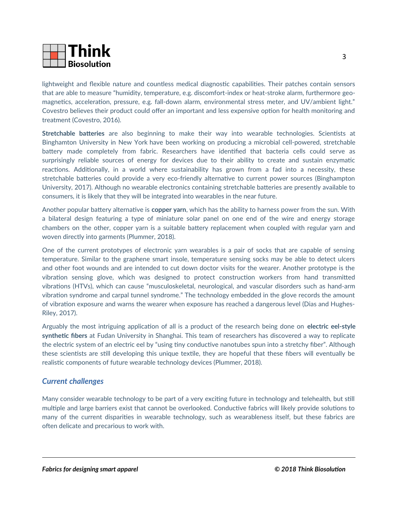

lightweight and flexible nature and countless medical diagnostic capabilities. Their patches contain sensors that are able to measure "humidity, temperature, e.g. discomfort-index or heat-stroke alarm, furthermore geomagnetics, acceleration, pressure, e.g. fall-down alarm, environmental stress meter, and UV/ambient light." Covestro believes their product could offer an important and less expensive option for health monitoring and treatment (Covestro, 2016).

**Stretchable batteries** are also beginning to make their way into wearable technologies. Scientists at Binghamton University in New York have been working on producing a microbial cell-powered, stretchable battery made completely from fabric. Researchers have identified that bacteria cells could serve as surprisingly reliable sources of energy for devices due to their ability to create and sustain enzymatic reactions. Additionally, in a world where sustainability has grown from a fad into a necessity, these stretchable batteries could provide a very eco-friendly alternative to current power sources (Binghampton University, 2017). Although no wearable electronics containing stretchable batteries are presently available to consumers, it is likely that they will be integrated into wearables in the near future.

Another popular battery alternative is **copper yarn**, which has the ability to harness power from the sun. With a bilateral design featuring a type of miniature solar panel on one end of the wire and energy storage chambers on the other, copper yarn is a suitable battery replacement when coupled with regular yarn and woven directly into garments (Plummer, 2018).

One of the current prototypes of electronic yarn wearables is a pair of socks that are capable of sensing temperature. Similar to the graphene smart insole, temperature sensing socks may be able to detect ulcers and other foot wounds and are intended to cut down doctor visits for the wearer. Another prototype is the vibration sensing glove, which was designed to protect construction workers from hand transmitted vibrations (HTVs), which can cause "musculoskeletal, neurological, and vascular disorders such as hand-arm vibration syndrome and carpal tunnel syndrome." The technology embedded in the glove records the amount of vibration exposure and warns the wearer when exposure has reached a dangerous level (Dias and Hughes-Riley, 2017).

Arguably the most intriguing application of all is a product of the research being done on **electric eel-style synthetic fibers** at Fudan University in Shanghai. This team of researchers has discovered a way to replicate the electric system of an electric eel by "using tiny conductive nanotubes spun into a stretchy fiber". Although these scientists are still developing this unique textile, they are hopeful that these fibers will eventually be realistic components of future wearable technology devices (Plummer, 2018).

## *Current challenges*

Many consider wearable technology to be part of a very exciting future in technology and telehealth, but still multiple and large barriers exist that cannot be overlooked. Conductive fabrics will likely provide solutions to many of the current disparities in wearable technology, such as wearableness itself, but these fabrics are often delicate and precarious to work with.